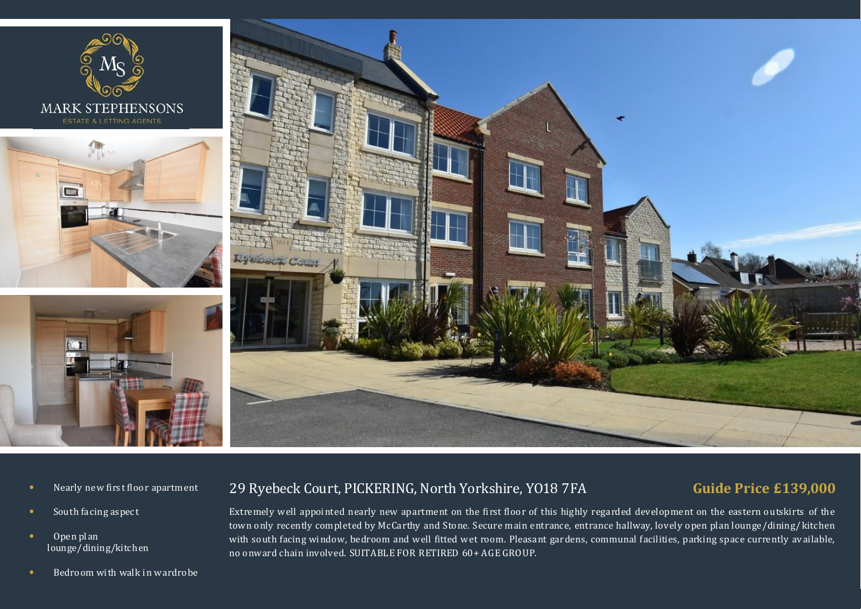

- **•** Nearly new first floor apartment
- **•** South facing aspect
- Open plan lounge/dining/kitchen
- **•** Bedroom with walk in wardrobe

# 29 Ryebeck Court, PICKERING, North Yorkshire, YO18 7FA

# **Guide Price £139,000**

Extremely well appointed nearly new apartment on the first floor of this highly regarded dev elopment on the eastern outskirts of the town only recently completed by McCarthy and Stone. Secure main entrance, entrance hallway, lov ely open plan lounge/dining/kitchen with south facing window, bedroom and well fitted wet room. Pleasant gardens, communal facilities, parking space currently av ailable, no onward chain involved. SUITABLE FOR RETIRED 60+ AGE GRO UP.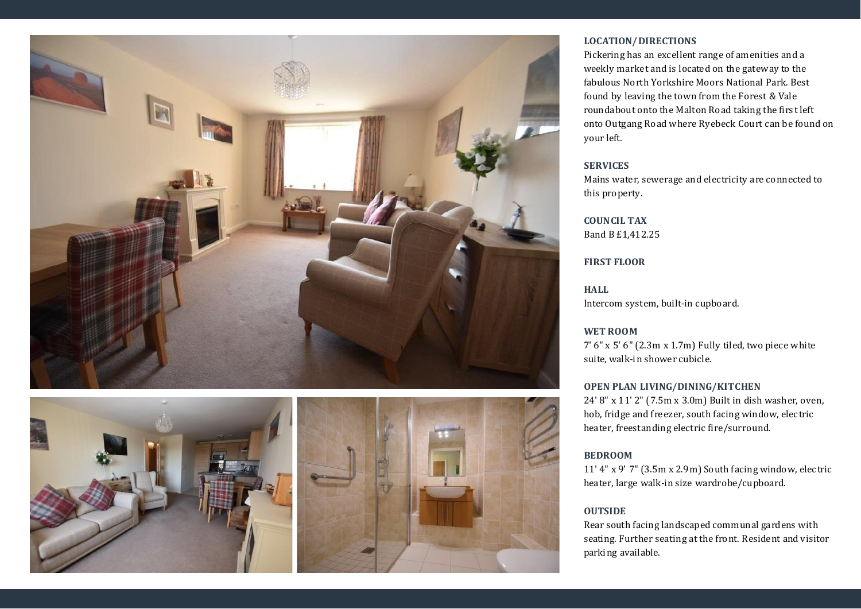



### **LOCATION/DIRECTIONS**

Pickering has an excellent range of amenities and a weekly market and is located on the gateway to the fabulous North Yorkshire Moors National Park. Best found by leaving the town from the Forest & Vale roundabout onto the Malton Road taking the first left onto Outgang Road where Ry ebeck Court can be found on your left.

#### **SERVICES**

Mains water, sewerage and electricity are connected to this property.

## **COUNCIL TAX** Band B £1,412.25

#### **FIRST FLOOR**

**HALL**

Intercom system, built-in cupboard.

#### **WET ROOM**

7' 6" x 5' 6" (2.3m x 1.7m) Fully tiled, two piece white suite, walk-in shower cubicle.

#### **OPEN PLAN LIVING/DINING/KITCHEN**

24' 8" x 11' 2" (7.5m x 3.0m) Built in dish washer, oven, hob, fridge and freezer, south facing window, electric heater, freestanding electric fire/surround.

### **BEDROOM**

11' 4" x 9' 7" (3.5m x 2.9m) South facing window, electric heater, large walk-in size wardrobe/cupboard.

### **OUTSIDE**

Rear south facing landscaped communal gardens with seating. Further seating at the front. Resident and visitor parking available.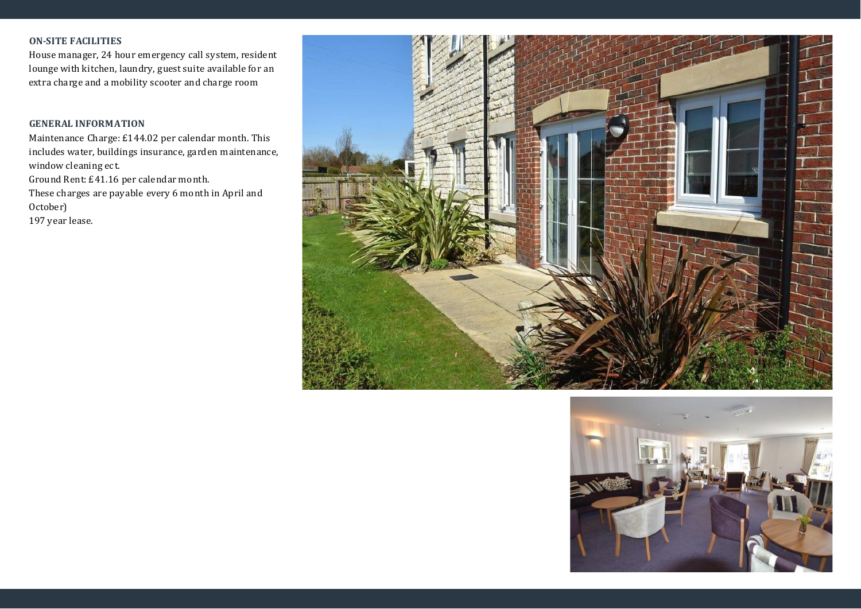## **ON-SITE FACILITIES**

House manager, 24 hour emergency call system, resident lounge with kitchen, laundry, guest suite available for an extra charge and a mobility scooter and charge room

### **GENERAL INFORMATION**

Maintenance Charge: £144.02 per calendar month. This includes water, buildings insurance, garden maintenance, window cleaning ect. Ground Rent: £41.16 per calendar month.

These charges are pay able every 6 month in April and October)

197 year lease.